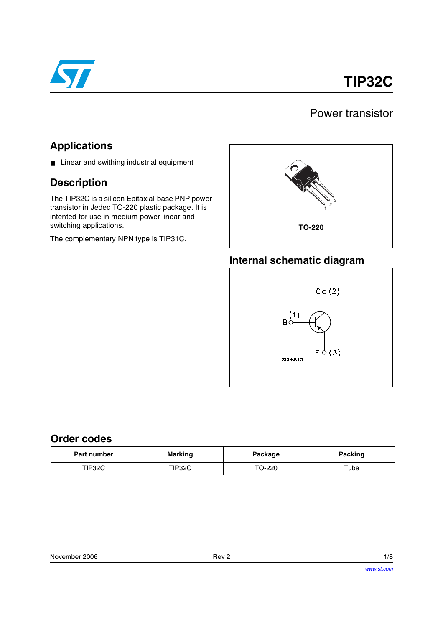

# **TIP32C**

## Power transistor

## **Applications**

■ Linear and swithing industrial equipment

## **Description**

The TIP32C is a silicon Epitaxial-base PNP power transistor in Jedec TO-220 plastic package. It is intented for use in medium power linear and switching applications.

The complementary NPN type is TIP31C.



#### **Internal schematic diagram**



#### **Order codes**

| <b>Part number</b> | <b>Marking</b><br>Package |        | <b>Packing</b> |  |
|--------------------|---------------------------|--------|----------------|--|
| TIP32C             | TIP32C                    | TO-220 | Tube           |  |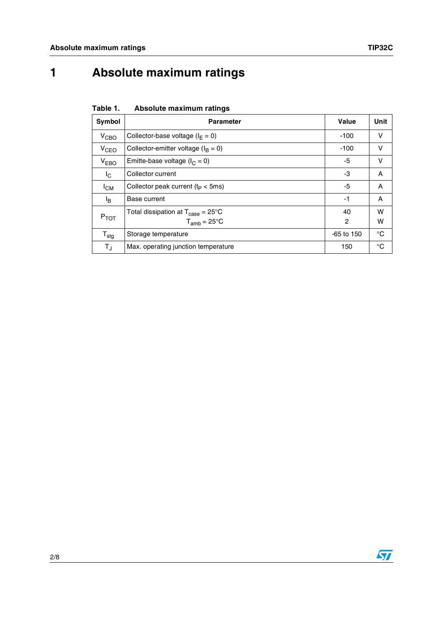## **1 Absolute maximum ratings**

**Table 1. Absolute maximum ratings**

| Symbol                  | <b>Parameter</b>                                     | Value        | Unit         |
|-------------------------|------------------------------------------------------|--------------|--------------|
| $V_{CBO}$               | Collector-base voltage ( $I_F = 0$ )                 | $-100$       | v            |
| V <sub>CEO</sub>        | Collector-emitter voltage ( $I_B = 0$ )              | $-100$       | v            |
| V <sub>EBO</sub>        | Emitte-base voltage ( $I_C = 0$ )                    | -5           | v            |
| I <sub>C</sub>          | Collector current                                    | -3           | A            |
| $I_{CM}$                | Collector peak current ( $t_P < 5$ ms)               | -5           | A            |
| ΙŖ                      | Base current                                         | -1           | A            |
| $P_{TOT}$               | Total dissipation at $T_{\text{case}} = 25^{\circ}C$ | 40           | W            |
|                         | $T_{amb}$ = 25 $\mathrm{^{\circ}C}$                  | 2            | w            |
| $T_{\text{stg}}$        | Storage temperature                                  | $-65$ to 150 | $^{\circ}$ C |
| $\mathsf{T}_\mathsf{J}$ | Max. operating junction temperature                  | 150          | °C           |

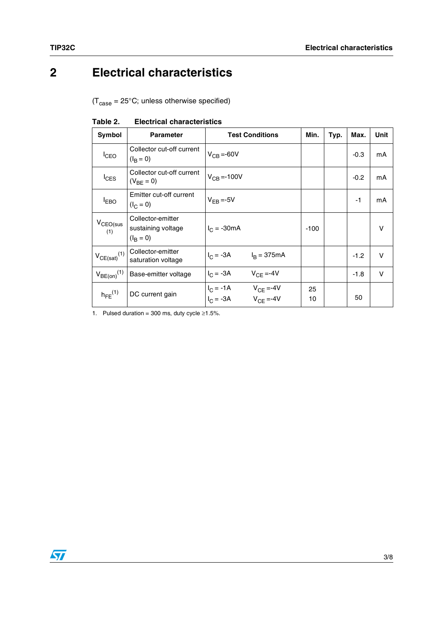## **2 Electrical characteristics**

 $(T_{\text{case}} = 25^{\circ} \text{C}$ ; unless otherwise specified)

| Symbol                       | <b>Parameter</b>                                             | <b>Test Conditions</b>                                      | Min.     | Typ. | Max.   | Unit   |
|------------------------------|--------------------------------------------------------------|-------------------------------------------------------------|----------|------|--------|--------|
| $I_{CEO}$                    | Collector cut-off current<br>$(I_R = 0)$                     | $V_{CB} = -60V$                                             |          |      | $-0.3$ | mA     |
| $I_{\text{CES}}$             | Collector cut-off current<br>$(V_{BF} = 0)$                  | $V_{CB} = -100V$                                            |          |      | $-0.2$ | mA     |
| <b>IEBO</b>                  | Emitter cut-off current<br>$(I_C = 0)$                       | $V_{FR} = -5V$                                              |          |      | $-1$   | mA     |
| $V_{CEO(sus)}$<br>(1)        | Collector-emitter<br>sustaining voltage<br>$(I_{\rm R} = 0)$ | $I_C = -30mA$                                               | $-100$   |      |        | v      |
| $V_{CE(sat)}$ <sup>(1)</sup> | Collector-emitter<br>saturation voltage                      | $I_C = -3A$<br>$I_R = 375mA$                                |          |      | $-1.2$ | $\vee$ |
| $V_{BE(on)}$ <sup>(1)</sup>  | Base-emitter voltage                                         | $I_C = -3A$<br>$V_{CF} = -4V$                               |          |      | $-1.8$ | V      |
| $h_{\text{FE}}^{(1)}$        | DC current gain                                              | $I_C = -1A$ $V_{CE} = -4V$<br>$V_{CF} = -4V$<br>$I_C = -3A$ | 25<br>10 |      | 50     |        |

**Table 2. Electrical characteristics**

1. Pulsed duration = 300 ms, duty cycle  $\geq 1.5\%$ .

 $\sqrt{2}$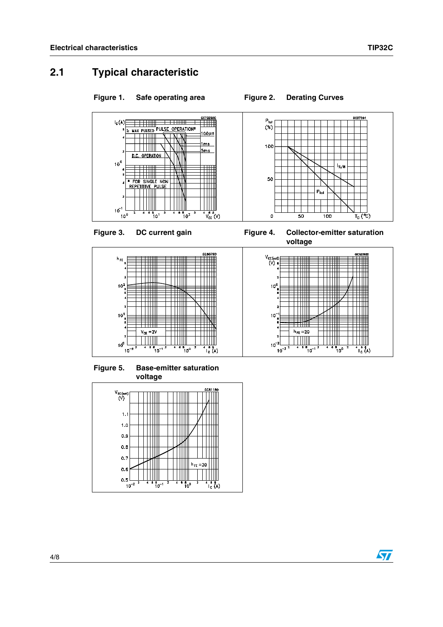C57291

 $\frac{1}{T_c}$  (°C)

 $I_{S/B}$ 

## **2.1 Typical characteristic**

#### Figure 1. Safe operating area Figure 2. Derating Curves

 $P_{\text{tot}}$ <br> $(\%)$ 

100

50

 $\mathbf{o}$ 





**Figure 5. Base-emitter saturation voltage**



Figure 3. DC current gain Figure 4. Collector-emitter saturation **voltage**

 $\frac{1}{50}$ 

P<sub>tot</sub>

 $\frac{1}{100}$ 



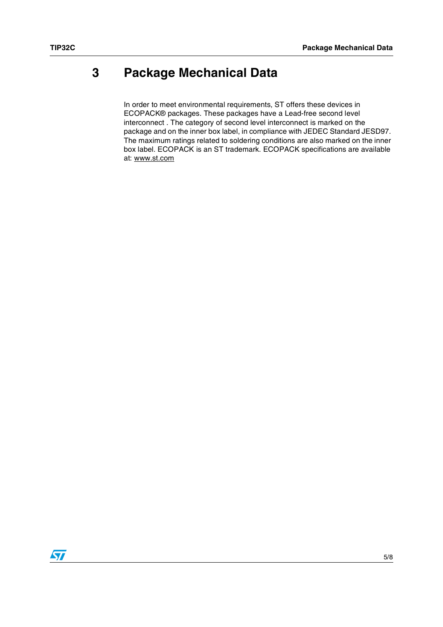## **3 Package Mechanical Data**

In order to meet environmental requirements, ST offers these devices in ECOPACK® packages. These packages have a Lead-free second level interconnect . The category of second level interconnect is marked on the package and on the inner box label, in compliance with JEDEC Standard JESD97. The maximum ratings related to soldering conditions are also marked on the inner box label. ECOPACK is an ST trademark. ECOPACK specifications are available at: www.st.com

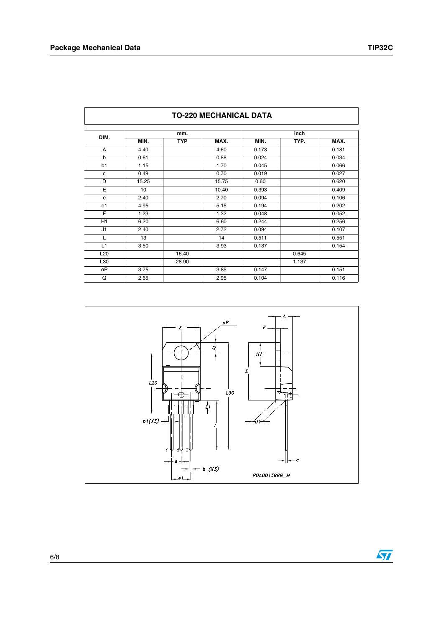| <b>TO-220 MECHANICAL DATA</b> |       |            |       |       |       |       |
|-------------------------------|-------|------------|-------|-------|-------|-------|
| DIM.                          | mm.   |            |       | inch  |       |       |
|                               | MIN.  | <b>TYP</b> | MAX.  | MIN.  | TYP.  | MAX.  |
| A                             | 4.40  |            | 4.60  | 0.173 |       | 0.181 |
| b                             | 0.61  |            | 0.88  | 0.024 |       | 0.034 |
| b1                            | 1.15  |            | 1.70  | 0.045 |       | 0.066 |
| c                             | 0.49  |            | 0.70  | 0.019 |       | 0.027 |
| D                             | 15.25 |            | 15.75 | 0.60  |       | 0.620 |
| Е                             | 10    |            | 10.40 | 0.393 |       | 0.409 |
| e                             | 2.40  |            | 2.70  | 0.094 |       | 0.106 |
| e1                            | 4.95  |            | 5.15  | 0.194 |       | 0.202 |
| F                             | 1.23  |            | 1.32  | 0.048 |       | 0.052 |
| H1                            | 6.20  |            | 6.60  | 0.244 |       | 0.256 |
| J1                            | 2.40  |            | 2.72  | 0.094 |       | 0.107 |
| L                             | 13    |            | 14    | 0.511 |       | 0.551 |
| L1                            | 3.50  |            | 3.93  | 0.137 |       | 0.154 |
| L <sub>20</sub>               |       | 16.40      |       |       | 0.645 |       |
| L30                           |       | 28.90      |       |       | 1.137 |       |
| øP                            | 3.75  |            | 3.85  | 0.147 |       | 0.151 |

Q | 2.65 | | | 2.95 | 0.104 | | 0.116

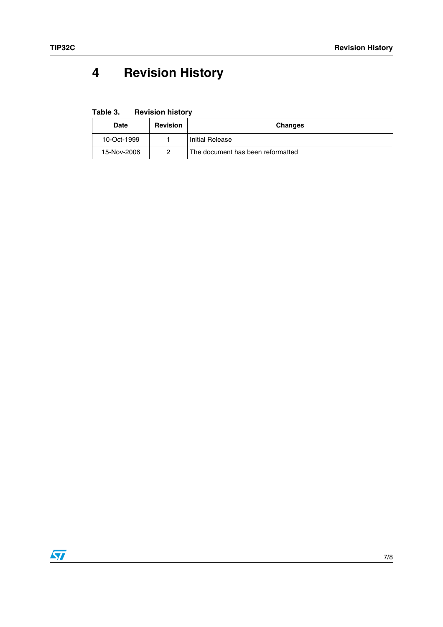## **4 Revision History**

**Table 3. Revision history**

| <b>Date</b> | Revision | Changes                           |
|-------------|----------|-----------------------------------|
| 10-Oct-1999 |          | Initial Release                   |
| 15-Nov-2006 |          | The document has been reformatted |